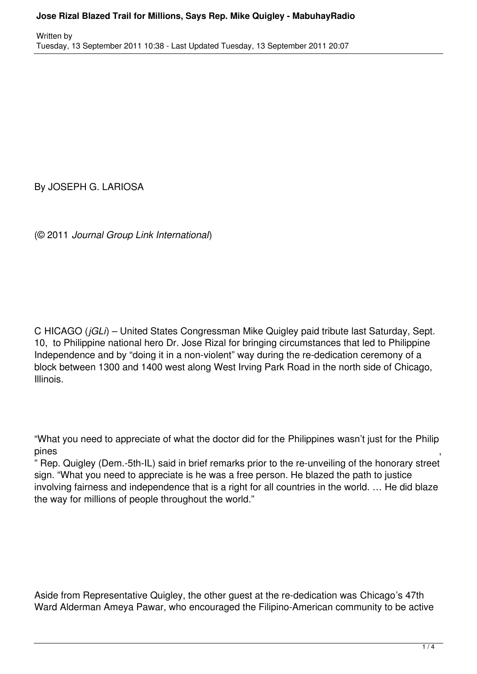By JOSEPH G. LARIOSA

(© 2011 *Journal Group Link International*)

C HICAGO (*jGLi*) – United States Congressman Mike Quigley paid tribute last Saturday, Sept. 10, to Philippine national hero Dr. Jose Rizal for bringing circumstances that led to Philippine Independence and by "doing it in a non-violent" way during the re-dedication ceremony of a block between 1300 and 1400 west along West Irving Park Road in the north side of Chicago, Illinois.

"What you need to appreciate of what the doctor did for the Philippines wasn't just for the Philip pines ,

" Rep. Quigley (Dem.-5th-IL) said in brief remarks prior to the re-unveiling of the honorary street sign. "What you need to appreciate is he was a free person. He blazed the path to justice involving fairness and independence that is a right for all countries in the world. … He did blaze the way for millions of people throughout the world."

Aside from Representative Quigley, the other guest at the re-dedication was Chicago's 47th Ward Alderman Ameya Pawar, who encouraged the Filipino-American community to be active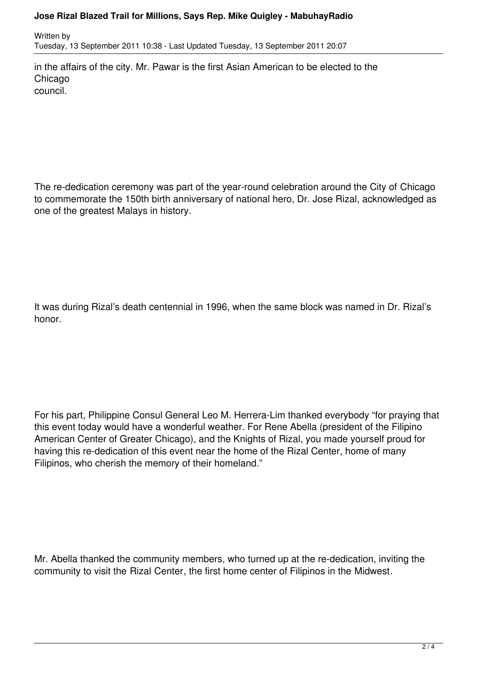## **Jose Rizal Blazed Trail for Millions, Says Rep. Mike Quigley - MabuhayRadio**

Written by Tuesday, 13 September 2011 10:38 - Last Updated Tuesday, 13 September 2011 20:07

in the affairs of the city. Mr. Pawar is the first Asian American to be elected to the **Chicago** council.

The re-dedication ceremony was part of the year-round celebration around the City of Chicago to commemorate the 150th birth anniversary of national hero, Dr. Jose Rizal, acknowledged as one of the greatest Malays in history.

It was during Rizal's death centennial in 1996, when the same block was named in Dr. Rizal's honor.

For his part, Philippine Consul General Leo M. Herrera-Lim thanked everybody "for praying that this event today would have a wonderful weather. For Rene Abella (president of the Filipino American Center of Greater Chicago), and the Knights of Rizal, you made yourself proud for having this re-dedication of this event near the home of the Rizal Center, home of many Filipinos, who cherish the memory of their homeland."

Mr. Abella thanked the community members, who turned up at the re-dedication, inviting the community to visit the Rizal Center, the first home center of Filipinos in the Midwest.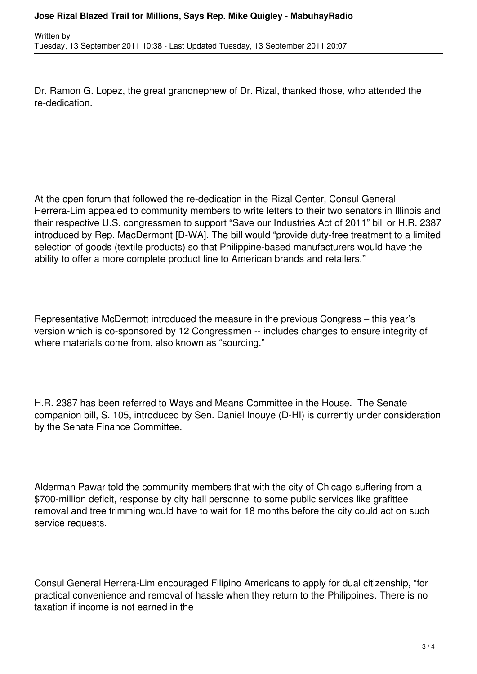Dr. Ramon G. Lopez, the great grandnephew of Dr. Rizal, thanked those, who attended the re-dedication.

At the open forum that followed the re-dedication in the Rizal Center, Consul General Herrera-Lim appealed to community members to write letters to their two senators in Illinois and their respective U.S. congressmen to support "Save our Industries Act of 2011" bill or H.R. 2387 introduced by Rep. MacDermont [D-WA]. The bill would "provide duty-free treatment to a limited selection of goods (textile products) so that Philippine-based manufacturers would have the ability to offer a more complete product line to American brands and retailers."

Representative McDermott introduced the measure in the previous Congress – this year's version which is co-sponsored by 12 Congressmen -- includes changes to ensure integrity of where materials come from, also known as "sourcing."

H.R. 2387 has been referred to Ways and Means Committee in the House. The Senate companion bill, S. 105, introduced by Sen. Daniel Inouye (D-HI) is currently under consideration by the Senate Finance Committee.

Alderman Pawar told the community members that with the city of Chicago suffering from a \$700-million deficit, response by city hall personnel to some public services like grafittee removal and tree trimming would have to wait for 18 months before the city could act on such service requests.

Consul General Herrera-Lim encouraged Filipino Americans to apply for dual citizenship, "for practical convenience and removal of hassle when they return to the Philippines. There is no taxation if income is not earned in the